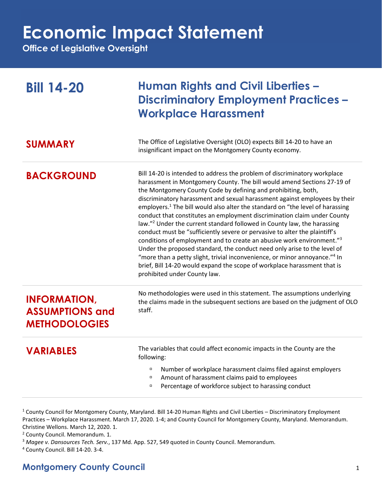## **Economic Impact Statement**

**Office of Legislative Oversight**

| <b>Bill 14-20</b>                                                     | <b>Human Rights and Civil Liberties -</b><br><b>Discriminatory Employment Practices –</b><br><b>Workplace Harassment</b>                                                                                                                                                                                                                                                                                                                                                                                                                                                                                                                                                                                                                                                                                                                                                                                                                                                                                     |
|-----------------------------------------------------------------------|--------------------------------------------------------------------------------------------------------------------------------------------------------------------------------------------------------------------------------------------------------------------------------------------------------------------------------------------------------------------------------------------------------------------------------------------------------------------------------------------------------------------------------------------------------------------------------------------------------------------------------------------------------------------------------------------------------------------------------------------------------------------------------------------------------------------------------------------------------------------------------------------------------------------------------------------------------------------------------------------------------------|
| <b>SUMMARY</b>                                                        | The Office of Legislative Oversight (OLO) expects Bill 14-20 to have an<br>insignificant impact on the Montgomery County economy.                                                                                                                                                                                                                                                                                                                                                                                                                                                                                                                                                                                                                                                                                                                                                                                                                                                                            |
| <b>BACKGROUND</b>                                                     | Bill 14-20 is intended to address the problem of discriminatory workplace<br>harassment in Montgomery County. The bill would amend Sections 27-19 of<br>the Montgomery County Code by defining and prohibiting, both,<br>discriminatory harassment and sexual harassment against employees by their<br>employers. <sup>1</sup> The bill would also alter the standard on "the level of harassing<br>conduct that constitutes an employment discrimination claim under County<br>law." <sup>2</sup> Under the current standard followed in County law, the harassing<br>conduct must be "sufficiently severe or pervasive to alter the plaintiff's<br>conditions of employment and to create an abusive work environment."3<br>Under the proposed standard, the conduct need only arise to the level of<br>"more than a petty slight, trivial inconvenience, or minor annoyance." <sup>4</sup> In<br>brief, Bill 14-20 would expand the scope of workplace harassment that is<br>prohibited under County law. |
| <b>INFORMATION,</b><br><b>ASSUMPTIONS and</b><br><b>METHODOLOGIES</b> | No methodologies were used in this statement. The assumptions underlying<br>the claims made in the subsequent sections are based on the judgment of OLO<br>staff.                                                                                                                                                                                                                                                                                                                                                                                                                                                                                                                                                                                                                                                                                                                                                                                                                                            |
| <b>VARIABLES</b>                                                      | The variables that could affect economic impacts in the County are the<br>following:<br>Number of workplace harassment claims filed against employers<br>$\Box$<br>Amount of harassment claims paid to employees<br>$\Box$<br>Percentage of workforce subject to harassing conduct<br>$\Box$                                                                                                                                                                                                                                                                                                                                                                                                                                                                                                                                                                                                                                                                                                                 |

<sup>1</sup> County Council for Montgomery County, Maryland. Bill 14-20 Human Rights and Civil Liberties – Discriminatory Employment Practices – Workplace Harassment. March 17, 2020. 1-4; and County Council for Montgomery County, Maryland. Memorandum. Christine Wellons. March 12, 2020. 1.

<sup>2</sup> County Council. Memorandum. 1.

<sup>3</sup> *Magee v. Dansources Tech. Serv.*, 137 Md. App. 527, 549 quoted in County Council. Memorandum.

<sup>4</sup> County Council. Bill 14-20. 3-4.

## **Montgomery County Council** 1